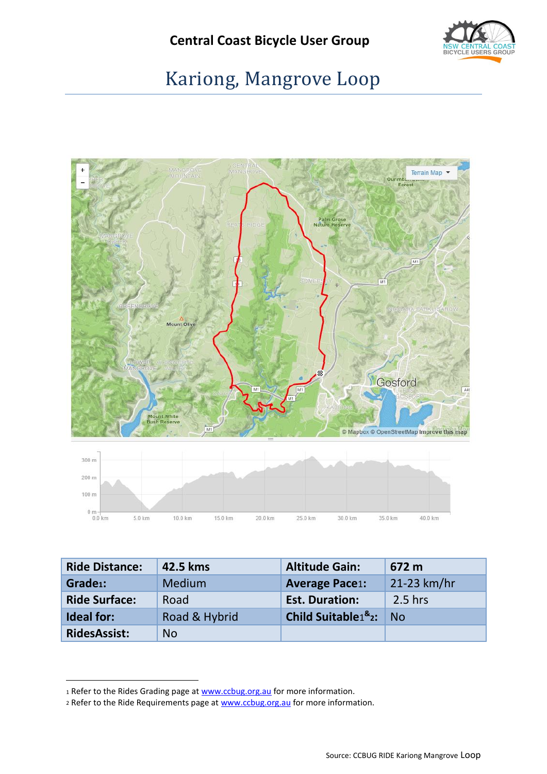

# Kariong, Mangrove Loop



<span id="page-0-0"></span>

| <b>Ride Distance:</b> | 42.5 kms      | <b>Altitude Gain:</b>                                | 672 m       |
|-----------------------|---------------|------------------------------------------------------|-------------|
| Grade <sub>1</sub> :  | <b>Medium</b> | <b>Average Pace1:</b>                                | 21-23 km/hr |
| <b>Ride Surface:</b>  | Road          | <b>Est. Duration:</b>                                | $2.5$ hrs   |
| <b>Ideal for:</b>     | Road & Hybrid | <b>Child Suitable</b> <sup>8</sup> <sup>2</sup> : No |             |
| <b>RidesAssist:</b>   | <b>No</b>     |                                                      |             |

1

<sup>1</sup> Refer to the Rides Grading page at [www.ccbug.org.au](http://www.ccbug.org.au/) for more information.

<sup>2</sup> Refer to the Ride Requirements page a[t www.ccbug.org.au](http://www.ccbug.org.au/) for more information.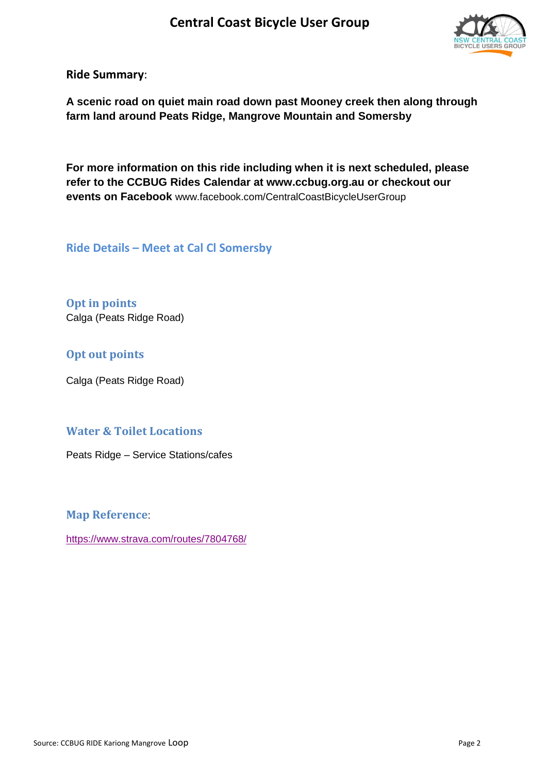

**Ride Summary**:

**A scenic road on quiet main road down past Mooney creek then along through farm land around Peats Ridge, Mangrove Mountain and Somersby**

**For more information on this ride including when it is next scheduled, please refer to the CCBUG Rides Calendar at www.ccbug.org.au or checkout our events on Facebook** [www.facebook.com/CentralCoastBicycleUserGroup](http://www.facebook.com/CentralCoastBicycleUserGroup)

**Ride Details – Meet at Cal Cl Somersby**

**Opt in points** Calga (Peats Ridge Road)

### **Opt out points**

Calga (Peats Ridge Road)

#### **Water & Toilet Locations**

Peats Ridge – Service Stations/cafes

**Map Reference**:

[https://www.strava.com/routes/7804768/](https://www.strava.com/routes/7804768/cue_sheet)